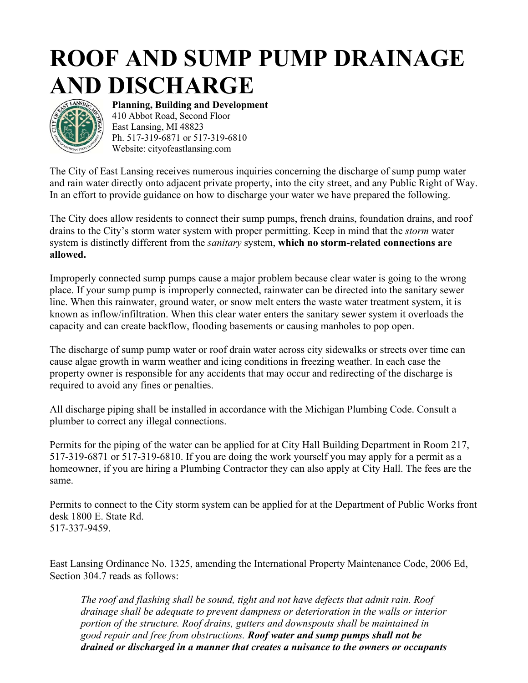## **ROOF AND SUMP PUMP DRAINAGE AND DISCHARGE**



**Planning, Building and Development** 410 Abbot Road, Second Floor East Lansing, MI 48823 Ph. 517-319-6871 or 517-319-6810 Website: cityofeastlansing.com

The City of East Lansing receives numerous inquiries concerning the discharge of sump pump water and rain water directly onto adjacent private property, into the city street, and any Public Right of Way. In an effort to provide guidance on how to discharge your water we have prepared the following.

The City does allow residents to connect their sump pumps, french drains, foundation drains, and roof drains to the City's storm water system with proper permitting. Keep in mind that the *storm* water system is distinctly different from the *sanitary* system, **which no storm-related connections are allowed.**

Improperly connected sump pumps cause a major problem because clear water is going to the wrong place. If your sump pump is improperly connected, rainwater can be directed into the sanitary sewer line. When this rainwater, ground water, or snow melt enters the waste water treatment system, it is known as inflow/infiltration. When this clear water enters the sanitary sewer system it overloads the capacity and can create backflow, flooding basements or causing manholes to pop open.

The discharge of sump pump water or roof drain water across city sidewalks or streets over time can cause algae growth in warm weather and icing conditions in freezing weather. In each case the property owner is responsible for any accidents that may occur and redirecting of the discharge is required to avoid any fines or penalties.

All discharge piping shall be installed in accordance with [the Michigan Plumbing Code.](https://library.municode.com/HTML/14048/level3/CICO_CH19WASESEDI_ARTIIIMUSASEDISY.html#CICO_CH19WASESEDI_ARTIIIMUSASEDISY_S19-44PRDIINSASESY) Consult a plumber to correct any illegal connections.

Permits for the piping of the water can be applied for at City Hall Building Department in Room 217, 517-319-6871 or 517-319-6810. If you are doing the work yourself you may apply for a permit as a homeowner, if you are hiring a Plumbing Contractor they can also apply at City Hall. The fees are the same.

Permits to connect to the City storm system can be applied for at the Department of Public Works front desk 1800 E. State Rd. 517-337-9459.

East Lansing Ordinance No. 1325, amending the International Property Maintenance Code, 2006 Ed, Section 304.7 reads as follows:

*The roof and flashing shall be sound, tight and not have defects that admit rain. Roof drainage shall be adequate to prevent dampness or deterioration in the walls or interior portion of the structure. Roof drains, gutters and downspouts shall be maintained in good repair and free from obstructions. Roof water and sump pumps shall not be drained or discharged in a manner that creates a nuisance to the owners or occupants*